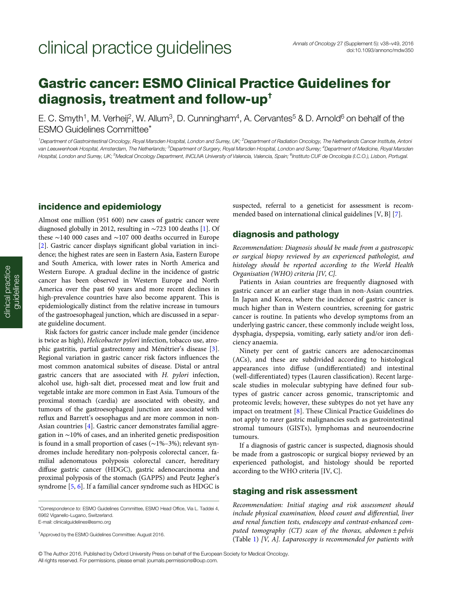## Gastric cancer: ESMO Clinical Practice Guidelines for diagnosis, treatment and follow-up†

E. C. Smyth<sup>1</sup>, M. Verheij<sup>2</sup>, W. Allum<sup>3</sup>, D. Cunningham<sup>4</sup>, A. Cervantes<sup>5</sup> & D. Arnold<sup>6</sup> on behalf of the ESMO Guidelines Committee\*

<sup>1</sup> Department of Gastrointestinal Oncology, Royal Marsden Hospital, London and Surrey, UK; <sup>2</sup>Department of Radiation Oncology, The Netherlands Cancer Institute, Anton van Leeuwenhoek Hospital, Amsterdam, The Netherlands; <sup>3</sup>Department of Surgery, Royal Marsden Hospital, London and Surrey; <sup>4</sup>Department of Medicine, Royal Marsden Hospital, London and Surrey, UK; <sup>5</sup>Medical Oncology Department, INCLIVA University of Valencia, Valencia, Spain; <sup>6</sup>Instituto CUF de Oncologia (I.C.O.), Lisbon, Portugal.

## incidence and epidemiology

Almost one million (951 600) new cases of gastric cancer were diagnosed globally in 2012, resulting in ∼723 100 deaths [\[1\]](#page-9-0). Of these ∼140 000 cases and ∼107 000 deaths occurred in Europe [[2](#page-9-0)]. Gastric cancer displays significant global variation in incidence; the highest rates are seen in Eastern Asia, Eastern Europe and South America, with lower rates in North America and Western Europe. A gradual decline in the incidence of gastric cancer has been observed in Western Europe and North America over the past 60 years and more recent declines in high-prevalence countries have also become apparent. This is epidemiologically distinct from the relative increase in tumours of the gastroesophageal junction, which are discussed in a separate guideline document.

Risk factors for gastric cancer include male gender (incidence is twice as high), Helicobacter pylori infection, tobacco use, atrophic gastritis, partial gastrectomy and Ménétrier's disease [\[3\]](#page-9-0). Regional variation in gastric cancer risk factors influences the most common anatomical subsites of disease. Distal or antral gastric cancers that are associated with H. pylori infection, alcohol use, high-salt diet, processed meat and low fruit and vegetable intake are more common in East Asia. Tumours of the proximal stomach (cardia) are associated with obesity, and tumours of the gastroesophageal junction are associated with reflux and Barrett's oesophagus and are more common in non-Asian countries [[4](#page-9-0)]. Gastric cancer demonstrates familial aggregation in ∼10% of cases, and an inherited genetic predisposition is found in a small proportion of cases (∼1%–3%); relevant syndromes include hereditary non-polyposis colorectal cancer, familial adenomatous polyposis colorectal cancer, hereditary diffuse gastric cancer (HDGC), gastric adenocarcinoma and proximal polyposis of the stomach (GAPPS) and Peutz Jegher's syndrome [\[5,](#page-9-0) [6\]](#page-9-0). If a familial cancer syndrome such as HDGC is

\*Correspondence to: ESMO Guidelines Committee, ESMO Head Office, Via L. Taddei 4, 6962 Viganello-Lugano, Switzerland.

E-mail: clinicalguidelines@esmo.org

† Approved by the ESMO Guidelines Committee: August 2016.

suspected, referral to a geneticist for assessment is recommended based on international clinical guidelines [V, B] [\[7\]](#page-9-0).

## diagnosis and pathology

Recommendation: Diagnosis should be made from a gastroscopic or surgical biopsy reviewed by an experienced pathologist, and histology should be reported according to the World Health Organisation (WHO) criteria [IV, C].

Patients in Asian countries are frequently diagnosed with gastric cancer at an earlier stage than in non-Asian countries. In Japan and Korea, where the incidence of gastric cancer is much higher than in Western countries, screening for gastric cancer is routine. In patients who develop symptoms from an underlying gastric cancer, these commonly include weight loss, dysphagia, dyspepsia, vomiting, early satiety and/or iron deficiency anaemia.

Ninety per cent of gastric cancers are adenocarcinomas (ACs), and these are subdivided according to histological appearances into diffuse (undifferentiated) and intestinal (well-differentiated) types (Lauren classification). Recent largescale studies in molecular subtyping have defined four subtypes of gastric cancer across genomic, transcriptomic and proteomic levels; however, these subtypes do not yet have any impact on treatment [\[8](#page-9-0)]. These Clinical Practice Guidelines do not apply to rarer gastric malignancies such as gastrointestinal stromal tumours (GISTs), lymphomas and neuroendocrine tumours.

If a diagnosis of gastric cancer is suspected, diagnosis should be made from a gastroscopic or surgical biopsy reviewed by an experienced pathologist, and histology should be reported according to the WHO criteria [IV, C].

## staging and risk assessment

Recommendation: Initial staging and risk assessment should include physical examination, blood count and differential, liver and renal function tests, endoscopy and contrast-enhanced computed tomography (CT) scan of the thorax, abdomen  $\pm$  pelvis (Table [1\)](#page-1-0) [V, A]. Laparoscopy is recommended for patients with

© The Author 2016. Published by Oxford University Press on behalf of the European Society for Medical Oncology. All rights reserved. For permissions, please email: journals.permissions@oup.com.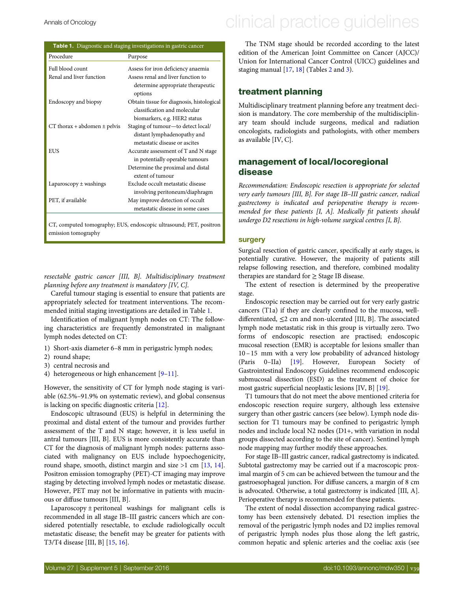| <b>Table 1.</b> Diagnostic and staging investigations in gastric cancer |                                              |  |  |  |  |
|-------------------------------------------------------------------------|----------------------------------------------|--|--|--|--|
| Procedure                                                               | Purpose                                      |  |  |  |  |
| Full blood count                                                        | Assess for iron deficiency anaemia           |  |  |  |  |
| Renal and liver function                                                | Assess renal and liver function to           |  |  |  |  |
|                                                                         | determine appropriate therapeutic<br>options |  |  |  |  |
| Endoscopy and biopsy                                                    | Obtain tissue for diagnosis, histological    |  |  |  |  |
|                                                                         | classification and molecular                 |  |  |  |  |
|                                                                         | biomarkers, e.g. HER2 status                 |  |  |  |  |
| CT thorax + abdomen $\pm$ pelvis                                        | Staging of tumour-to detect local/           |  |  |  |  |
|                                                                         | distant lymphadenopathy and                  |  |  |  |  |
|                                                                         | metastatic disease or ascites                |  |  |  |  |
| EUS                                                                     | Accurate assessment of T and N stage         |  |  |  |  |
|                                                                         | in potentially operable tumours              |  |  |  |  |
|                                                                         | Determine the proximal and distal            |  |  |  |  |
|                                                                         | extent of tumour                             |  |  |  |  |
| Laparoscopy $\pm$ washings                                              | Exclude occult metastatic disease            |  |  |  |  |
|                                                                         | involving peritoneum/diaphragm               |  |  |  |  |
| PET, if available                                                       | May improve detection of occult              |  |  |  |  |
|                                                                         | metastatic disease in some cases             |  |  |  |  |
|                                                                         |                                              |  |  |  |  |

CT, computed tomography; EUS, endoscopic ultrasound; PET, positron emission tomography

resectable gastric cancer [III, B]. Multidisciplinary treatment planning before any treatment is mandatory [IV, C].

Careful tumour staging is essential to ensure that patients are appropriately selected for treatment interventions. The recommended initial staging investigations are detailed in Table 1.

Identification of malignant lymph nodes on CT: The following characteristics are frequently demonstrated in malignant lymph nodes detected on CT:

- 1) Short-axis diameter 6–8 mm in perigastric lymph nodes;
- 2) round shape;
- 3) central necrosis and
- 4) heterogeneous or high enhancement [[9](#page-9-0)–[11](#page-9-0)].

However, the sensitivity of CT for lymph node staging is variable (62.5%–91.9% on systematic review), and global consensus is lacking on specific diagnostic criteria [\[12](#page-9-0)].

Endoscopic ultrasound (EUS) is helpful in determining the proximal and distal extent of the tumour and provides further assessment of the T and N stage; however, it is less useful in antral tumours [III, B]. EUS is more consistently accurate than CT for the diagnosis of malignant lymph nodes: patterns associated with malignancy on EUS include hypoechogenicity, round shape, smooth, distinct margin and size >1 cm [\[13](#page-9-0), [14\]](#page-9-0). Positron emission tomography (PET)-CT imaging may improve staging by detecting involved lymph nodes or metastatic disease. However, PET may not be informative in patients with mucinous or diffuse tumours [III, B].

Laparoscopy  $\pm$  peritoneal washings for malignant cells is recommended in all stage IB–III gastric cancers which are considered potentially resectable, to exclude radiologically occult metastatic disease; the benefit may be greater for patients with T3/T4 disease [III, B] [\[15](#page-9-0), [16\]](#page-9-0).

## <span id="page-1-0"></span>Annals of Oncology **Annals of Oncology** clinical practice quidelines

The TNM stage should be recorded according to the latest edition of the American Joint Committee on Cancer (AJCC)/ Union for International Cancer Control (UICC) guidelines and staging manual [[17,](#page-9-0) [18](#page-9-0)] (Tables [2](#page-2-0) and [3](#page-2-0)).

## treatment planning

Multidisciplinary treatment planning before any treatment decision is mandatory. The core membership of the multidisciplinary team should include surgeons, medical and radiation oncologists, radiologists and pathologists, with other members as available [IV, C].

## management of local/locoregional disease

Recommendation: Endoscopic resection is appropriate for selected very early tumours [III, B]. For stage IB–III gastric cancer, radical gastrectomy is indicated and perioperative therapy is recommended for these patients [I, A]. Medically fit patients should undergo D2 resections in high-volume surgical centres [I, B].

#### surgery

Surgical resection of gastric cancer, specifically at early stages, is potentially curative. However, the majority of patients still relapse following resection, and therefore, combined modality therapies are standard for  $\geq$  Stage IB disease.

The extent of resection is determined by the preoperative stage.

Endoscopic resection may be carried out for very early gastric cancers (T1a) if they are clearly confined to the mucosa, welldifferentiated, ≤2 cm and non-ulcerated [III, B]. The associated lymph node metastatic risk in this group is virtually zero. Two forms of endoscopic resection are practised; endoscopic mucosal resection (EMR) is acceptable for lesions smaller than 10 –15 mm with a very low probability of advanced histology (Paris 0–IIa) [[19\]](#page-9-0). However, European Society of Gastrointestinal Endoscopy Guidelines recommend endoscopic submucosal dissection (ESD) as the treatment of choice for most gastric superficial neoplastic lesions [IV, B] [[19\]](#page-9-0).

T1 tumours that do not meet the above mentioned criteria for endoscopic resection require surgery, although less extensive surgery than other gastric cancers (see below). Lymph node dissection for T1 tumours may be confined to perigastric lymph nodes and include local N2 nodes (D1+, with variation in nodal groups dissected according to the site of cancer). Sentinel lymph node mapping may further modify these approaches.

For stage IB–III gastric cancer, radical gastrectomy is indicated. Subtotal gastrectomy may be carried out if a macroscopic proximal margin of 5 cm can be achieved between the tumour and the gastroesophageal junction. For diffuse cancers, a margin of 8 cm is advocated. Otherwise, a total gastrectomy is indicated [III, A]. Perioperative therapy is recommended for these patients.

The extent of nodal dissection accompanying radical gastrectomy has been extensively debated. D1 resection implies the removal of the perigastric lymph nodes and D2 implies removal of perigastric lymph nodes plus those along the left gastric, common hepatic and splenic arteries and the coeliac axis (see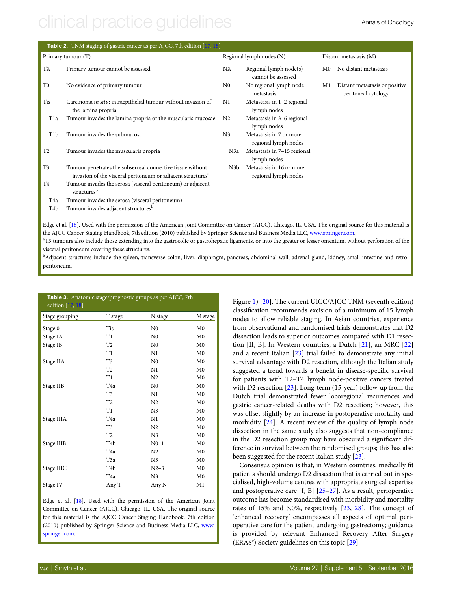# <span id="page-2-0"></span>clinical practice quidelines and the Annals of Oncology

| Table 2. TNM staging of gastric cancer as per AJCC, 7th edition [17, 18] |                                                                                                                                                                              |                  |                                                  |             |                                                       |  |  |
|--------------------------------------------------------------------------|------------------------------------------------------------------------------------------------------------------------------------------------------------------------------|------------------|--------------------------------------------------|-------------|-------------------------------------------------------|--|--|
|                                                                          | Primary tumour (T)                                                                                                                                                           |                  | Regional lymph nodes (N)                         |             | Distant metastasis (M)                                |  |  |
| <b>TX</b>                                                                | Primary tumour cannot be assessed                                                                                                                                            | NX               | Regional lymph node(s)<br>cannot be assessed     | $_{\rm M0}$ | No distant metastasis                                 |  |  |
| T <sub>0</sub>                                                           | No evidence of primary tumour                                                                                                                                                | $_{\rm N0}$      | No regional lymph node<br>metastasis             | M1          | Distant metastasis or positive<br>peritoneal cytology |  |  |
| Tis                                                                      | Carcinoma in situ: intraepithelial tumour without invasion of<br>the lamina propria                                                                                          | N1               | Metastasis in 1-2 regional<br>lymph nodes        |             |                                                       |  |  |
| T <sub>1</sub> a                                                         | Tumour invades the lamina propria or the muscularis mucosae                                                                                                                  | N <sub>2</sub>   | Metastasis in 3-6 regional<br>lymph nodes        |             |                                                       |  |  |
| T <sub>1</sub> b                                                         | Tumour invades the submucosa                                                                                                                                                 | N <sub>3</sub>   | Metastasis in 7 or more<br>regional lymph nodes  |             |                                                       |  |  |
| T <sub>2</sub>                                                           | Tumour invades the muscularis propria                                                                                                                                        | N <sub>3</sub> a | Metastasis in 7-15 regional<br>lymph nodes       |             |                                                       |  |  |
| T <sub>3</sub>                                                           | Tumour penetrates the subserosal connective tissue without<br>invasion of the visceral peritoneum or adjacent structures <sup>a</sup>                                        | N <sub>3</sub> b | Metastasis in 16 or more<br>regional lymph nodes |             |                                                       |  |  |
| T <sub>4</sub>                                                           | Tumour invades the serosa (visceral peritoneum) or adjacent<br>structures <sup>b</sup>                                                                                       |                  |                                                  |             |                                                       |  |  |
| T <sub>4</sub> a                                                         | Tumour invades the serosa (visceral peritoneum)                                                                                                                              |                  |                                                  |             |                                                       |  |  |
| T4b                                                                      | Tumour invades adjacent structures <sup>b</sup>                                                                                                                              |                  |                                                  |             |                                                       |  |  |
|                                                                          | $\sim$ $\sim$ $\sim$<br>$\sim$ $\sim$<br>$\mathbf{1}$ and $\mathbf{1}$ and $\mathbf{1}$ and $\mathbf{1}$ and $\mathbf{1}$ and $\mathbf{1}$ and $\mathbf{1}$ and $\mathbf{1}$ |                  | (1, 7, 7, 7)<br>$x = x + 1$                      |             |                                                       |  |  |

Edge et al. [\[18\]](#page-9-0). Used with the permission of the American Joint Committee on Cancer (AJCC), Chicago, IL, USA. The original source for this material is the AJCC Cancer Staging Handbook, 7th edition (2010) published by Springer Science and Business Media LLC, [www.springer.com.](www.springer.com)

<sup>a</sup>T3 tumours also include those extending into the gastrocolic or gastrohepatic ligaments, or into the greater or lesser omentum, without perforation of the visceral peritoneum covering these structures.

b Adjacent structures include the spleen, transverse colon, liver, diaphragm, pancreas, abdominal wall, adrenal gland, kidney, small intestine and retroperitoneum.

| Table 3. Anatomic stage/prognostic groups as per AJCC, 7th<br>edition [17, 18] |                  |                |                |
|--------------------------------------------------------------------------------|------------------|----------------|----------------|
| Stage grouping                                                                 | T stage          | N stage        | M stage        |
| Stage 0                                                                        | Tis              | N <sub>0</sub> | M <sub>0</sub> |
| Stage IA                                                                       | T1               | N <sub>0</sub> | M <sub>0</sub> |
| Stage IB                                                                       | T <sub>2</sub>   | N <sub>0</sub> | M <sub>0</sub> |
|                                                                                | T1               | N <sub>1</sub> | M <sub>0</sub> |
| Stage IIA                                                                      | T3               | N <sub>0</sub> | M <sub>0</sub> |
|                                                                                | T <sub>2</sub>   | N1             | M <sub>0</sub> |
|                                                                                | T1               | N <sub>2</sub> | M <sub>0</sub> |
| Stage IIB                                                                      | T <sub>4a</sub>  | N <sub>0</sub> | M <sub>0</sub> |
|                                                                                | T <sub>3</sub>   | N1             | M <sub>0</sub> |
|                                                                                | T <sub>2</sub>   | N <sub>2</sub> | M <sub>0</sub> |
|                                                                                | T1               | N <sub>3</sub> | M <sub>0</sub> |
| Stage IIIA                                                                     | T <sub>4a</sub>  | N1             | M <sub>0</sub> |
|                                                                                | T3               | N <sub>2</sub> | M <sub>0</sub> |
|                                                                                | T <sub>2</sub>   | N <sub>3</sub> | M <sub>0</sub> |
| Stage IIIB                                                                     | T <sub>4</sub> b | $N0-1$         | M <sub>0</sub> |
|                                                                                | T <sub>4a</sub>  | N <sub>2</sub> | M <sub>0</sub> |
|                                                                                | T3a              | N <sub>3</sub> | M <sub>0</sub> |
| Stage IIIC                                                                     | T4b              | $N2-3$         | M <sub>0</sub> |
|                                                                                | T <sub>4</sub> a | N <sub>3</sub> | M <sub>0</sub> |
| Stage IV                                                                       | Any T            | Any N          | M1             |

Edge et al. [[18](#page-9-0)]. Used with the permission of the American Joint Committee on Cancer (AJCC), Chicago, IL, USA. The original source for this material is the AJCC Cancer Staging Handbook, 7th edition (2010) published by Springer Science and Business Media LLC, [www.](www.springer.com) [springer.com](www.springer.com).

Figure [1](#page-3-0)) [\[20](#page-9-0)]. The current UICC/AJCC TNM (seventh edition) classification recommends excision of a minimum of 15 lymph nodes to allow reliable staging. In Asian countries, experience from observational and randomised trials demonstrates that D2 dissection leads to superior outcomes compared with D1 resection [II, B]. In Western countries, a Dutch [[21\]](#page-9-0), an MRC [[22\]](#page-9-0) and a recent Italian [\[23](#page-9-0)] trial failed to demonstrate any initial survival advantage with D2 resection, although the Italian study suggested a trend towards a benefit in disease-specific survival for patients with T2–T4 lymph node-positive cancers treated with D2 resection [\[23](#page-9-0)]. Long-term (15-year) follow-up from the Dutch trial demonstrated fewer locoregional recurrences and gastric cancer-related deaths with D2 resection; however, this was offset slightly by an increase in postoperative mortality and morbidity [\[24](#page-9-0)]. A recent review of the quality of lymph node dissection in the same study also suggests that non-compliance in the D2 resection group may have obscured a significant difference in survival between the randomised groups; this has also been suggested for the recent Italian study [[23\]](#page-9-0).

Consensus opinion is that, in Western countries, medically fit patients should undergo D2 dissection that is carried out in specialised, high-volume centres with appropriate surgical expertise and postoperative care [I, B] [[25](#page-9-0)–[27\]](#page-9-0). As a result, perioperative outcome has become standardised with morbidity and mortality rates of 15% and 3.0%, respectively [\[23](#page-9-0), [28\]](#page-9-0). The concept of 'enhanced recovery' encompasses all aspects of optimal perioperative care for the patient undergoing gastrectomy; guidance is provided by relevant Enhanced Recovery After Surgery (ERAS®) Society guidelines on this topic [\[29](#page-9-0)].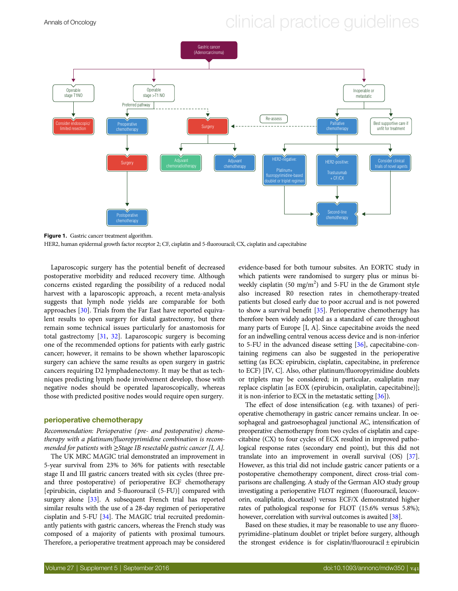<span id="page-3-0"></span>



Figure 1. Gastric cancer treatment algorithm.

HER2, human epidermal growth factor receptor 2; CF, cisplatin and 5-fluorouracil; CX, cisplatin and capecitabine

Laparoscopic surgery has the potential benefit of decreased postoperative morbidity and reduced recovery time. Although concerns existed regarding the possibility of a reduced nodal harvest with a laparoscopic approach, a recent meta-analysis suggests that lymph node yields are comparable for both approaches [\[30\]](#page-9-0). Trials from the Far East have reported equivalent results to open surgery for distal gastrectomy, but there remain some technical issues particularly for anastomosis for total gastrectomy [\[31](#page-9-0), [32\]](#page-10-0). Laparoscopic surgery is becoming one of the recommended options for patients with early gastric cancer; however, it remains to be shown whether laparoscopic surgery can achieve the same results as open surgery in gastric cancers requiring D2 lymphadenectomy. It may be that as techniques predicting lymph node involvement develop, those with negative nodes should be operated laparoscopically, whereas those with predicted positive nodes would require open surgery.

#### perioperative chemotherapy

Recommendation: Perioperative (pre- and postoperative) chemotherapy with a platinum/fluoropyrimidine combination is recommended for patients with  $\geq$ Stage IB resectable gastric cancer [I, A].

The UK MRC MAGIC trial demonstrated an improvement in 5-year survival from 23% to 36% for patients with resectable stage II and III gastric cancers treated with six cycles (three preand three postoperative) of perioperative ECF chemotherapy [epirubicin, cisplatin and 5-fluorouracil (5-FU)] compared with surgery alone [[33\]](#page-10-0). A subsequent French trial has reported similar results with the use of a 28-day regimen of perioperative cisplatin and 5-FU [[34\]](#page-10-0). The MAGIC trial recruited predominantly patients with gastric cancers, whereas the French study was composed of a majority of patients with proximal tumours. Therefore, a perioperative treatment approach may be considered evidence-based for both tumour subsites. An EORTC study in which patients were randomised to surgery plus or minus biweekly cisplatin (50 mg/m<sup>2</sup>) and 5-FU in the de Gramont style also increased R0 resection rates in chemotherapy-treated patients but closed early due to poor accrual and is not powered to show a survival benefit [\[35](#page-10-0)]. Perioperative chemotherapy has therefore been widely adopted as a standard of care throughout many parts of Europe [I, A]. Since capecitabine avoids the need for an indwelling central venous access device and is non-inferior to 5-FU in the advanced disease setting [\[36](#page-10-0)], capecitabine-containing regimens can also be suggested in the perioperative setting (as ECX: epirubicin, cisplatin, capecitabine, in preference to ECF) [IV, C]. Also, other platinum/fluoropyrimidine doublets or triplets may be considered; in particular, oxaliplatin may replace cisplatin [as EOX (epirubicin, oxaliplatin, capecitabine)]; it is non-inferior to ECX in the metastatic setting [[36\]](#page-10-0)).

The effect of dose intensification (e.g. with taxanes) of perioperative chemotherapy in gastric cancer remains unclear. In oesophageal and gastroesophageal junctional AC, intensification of preoperative chemotherapy from two cycles of cisplatin and capecitabine (CX) to four cycles of ECX resulted in improved pathological response rates (secondary end point), but this did not translate into an improvement in overall survival (OS) [[37\]](#page-10-0). However, as this trial did not include gastric cancer patients or a postoperative chemotherapy component, direct cross-trial comparisons are challenging. A study of the German AIO study group investigating a perioperative FLOT regimen (fluorouracil, leucovorin, oxaliplatin, docetaxel) versus ECF/X demonstrated higher rates of pathological response for FLOT (15.6% versus 5.8%); however, correlation with survival outcomes is awaited [\[38\]](#page-10-0).

Based on these studies, it may be reasonable to use any fluoropyrimidine–platinum doublet or triplet before surgery, although the strongest evidence is for cisplatin/fluorouracil ± epirubicin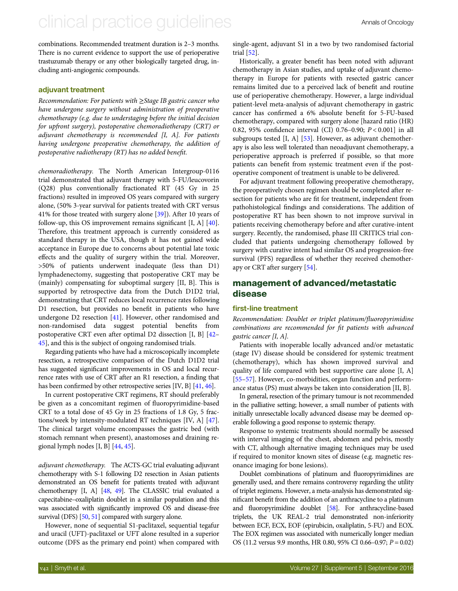## clinical practice quidelines and the Annals of Oncology

combinations. Recommended treatment duration is 2–3 months. There is no current evidence to support the use of perioperative trastuzumab therapy or any other biologically targeted drug, including anti-angiogenic compounds.

### adjuvant treatment

Recommendation: For patients with ≥Stage IB gastric cancer who have undergone surgery without administration of preoperative chemotherapy (e.g. due to understaging before the initial decision for upfront surgery), postoperative chemoradiotherapy (CRT) or adjuvant chemotherapy is recommended [I, A]. For patients having undergone preoperative chemotherapy, the addition of postoperative radiotherapy (RT) has no added benefit.

chemoradiotherapy. The North American Intergroup-0116 trial demonstrated that adjuvant therapy with 5-FU/leucovorin (Q28) plus conventionally fractionated RT (45 Gy in 25 fractions) resulted in improved OS years compared with surgery alone, (50% 3-year survival for patients treated with CRT versus 41% for those treated with surgery alone [\[39](#page-10-0)]). After 10 years of follow-up, this OS improvement remains significant [I, A] [[40\]](#page-10-0). Therefore, this treatment approach is currently considered as standard therapy in the USA, though it has not gained wide acceptance in Europe due to concerns about potential late toxic effects and the quality of surgery within the trial. Moreover, >50% of patients underwent inadequate (less than D1) lymphadenectomy, suggesting that postoperative CRT may be (mainly) compensating for suboptimal surgery [II, B]. This is supported by retrospective data from the Dutch D1D2 trial, demonstrating that CRT reduces local recurrence rates following D1 resection, but provides no benefit in patients who have undergone D2 resection [[41\]](#page-10-0). However, other randomised and non-randomised data suggest potential benefits from postoperative CRT even after optimal D2 dissection [I, B] [\[42](#page-10-0)– [45](#page-10-0)], and this is the subject of ongoing randomised trials.

Regarding patients who have had a microscopically incomplete resection, a retrospective comparison of the Dutch D1D2 trial has suggested significant improvements in OS and local recurrence rates with use of CRT after an R1 resection, a finding that has been confirmed by other retrospective series [IV, B] [\[41,](#page-10-0) [46](#page-10-0)].

In current postoperative CRT regimens, RT should preferably be given as a concomitant regimen of fluoropyrimidine-based CRT to a total dose of 45 Gy in 25 fractions of 1.8 Gy, 5 fractions/week by intensity-modulated RT techniques [IV, A] [[47\]](#page-10-0). The clinical target volume encompasses the gastric bed (with stomach remnant when present), anastomoses and draining regional lymph nodes [I, B] [[44](#page-10-0), [45](#page-10-0)].

adjuvant chemotherapy. The ACTS-GC trial evaluating adjuvant chemotherapy with S-1 following D2 resection in Asian patients demonstrated an OS benefit for patients treated with adjuvant chemotherapy [I, A] [\[48](#page-10-0), [49](#page-10-0)]. The CLASSIC trial evaluated a capecitabine–oxaliplatin doublet in a similar population and this was associated with significantly improved OS and disease-free survival (DFS) [\[50,](#page-10-0) [51\]](#page-10-0) compared with surgery alone.

However, none of sequential S1-paclitaxel, sequential tegafur and uracil (UFT)-paclitaxel or UFT alone resulted in a superior outcome (DFS as the primary end point) when compared with

single-agent, adjuvant S1 in a two by two randomised factorial trial [\[52](#page-10-0)].

Historically, a greater benefit has been noted with adjuvant chemotherapy in Asian studies, and uptake of adjuvant chemotherapy in Europe for patients with resected gastric cancer remains limited due to a perceived lack of benefit and routine use of perioperative chemotherapy. However, a large individual patient-level meta-analysis of adjuvant chemotherapy in gastric cancer has confirmed a 6% absolute benefit for 5-FU-based chemotherapy, compared with surgery alone [hazard ratio (HR) 0.82, 95% confidence interval (CI) 0.76–0.90; P < 0.001] in all subgroups tested [I, A] [[53](#page-10-0)]. However, as adjuvant chemotherapy is also less well tolerated than neoadjuvant chemotherapy, a perioperative approach is preferred if possible, so that more patients can benefit from systemic treatment even if the postoperative component of treatment is unable to be delivered.

For adjuvant treatment following preoperative chemotherapy, the preoperatively chosen regimen should be completed after resection for patients who are fit for treatment, independent from pathohistological findings and considerations. The addition of postoperative RT has been shown to not improve survival in patients receiving chemotherapy before and after curative-intent surgery. Recently, the randomised, phase III CRITICS trial concluded that patients undergoing chemotherapy followed by surgery with curative intent had similar OS and progression-free survival (PFS) regardless of whether they received chemotherapy or CRT after surgery [[54\]](#page-10-0).

## management of advanced/metastatic disease

#### first-line treatment

Recommendation: Doublet or triplet platinum/fluoropyrimidine combinations are recommended for fit patients with advanced gastric cancer [I, A].

Patients with inoperable locally advanced and/or metastatic (stage IV) disease should be considered for systemic treatment (chemotherapy), which has shown improved survival and quality of life compared with best supportive care alone [I, A] [[55](#page-10-0)–[57\]](#page-10-0). However, co-morbidities, organ function and performance status (PS) must always be taken into consideration [II, B].

In general, resection of the primary tumour is not recommended in the palliative setting; however, a small number of patients with initially unresectable locally advanced disease may be deemed operable following a good response to systemic therapy.

Response to systemic treatments should normally be assessed with interval imaging of the chest, abdomen and pelvis, mostly with CT, although alternative imaging techniques may be used if required to monitor known sites of disease (e.g. magnetic resonance imaging for bone lesions).

Doublet combinations of platinum and fluoropyrimidines are generally used, and there remains controversy regarding the utility of triplet regimens. However, a meta-analysis has demonstrated significant benefit from the addition of an anthracycline to a platinum and fluoropyrimidine doublet [\[58](#page-10-0)]. For anthracycline-based triplets, the UK REAL-2 trial demonstrated non-inferiority between ECF, ECX, EOF (epirubicin, oxaliplatin, 5-FU) and EOX. The EOX regimen was associated with numerically longer median OS (11.2 versus 9.9 months, HR 0.80, 95% CI 0.66–0.97; P = 0.02)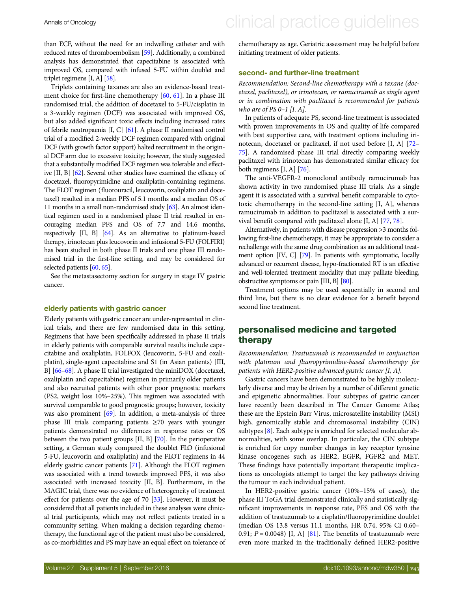than ECF, without the need for an indwelling catheter and with reduced rates of thromboembolism [\[59](#page-10-0)]. Additionally, a combined analysis has demonstrated that capecitabine is associated with improved OS, compared with infused 5-FU within doublet and triplet regimens [I, A] [\[58\]](#page-10-0).

Triplets containing taxanes are also an evidence-based treatment choice for first-line chemotherapy [[60,](#page-10-0) [61\]](#page-10-0). In a phase III randomised trial, the addition of docetaxel to 5-FU/cisplatin in a 3-weekly regimen (DCF) was associated with improved OS, but also added significant toxic effects including increased rates of febrile neutropaenia [I, C] [[61](#page-10-0)]. A phase II randomised control trial of a modified 2-weekly DCF regimen compared with original DCF (with growth factor support) halted recruitment in the original DCF arm due to excessive toxicity; however, the study suggested that a substantially modified DCF regimen was tolerable and effective [II, B] [[62\]](#page-10-0). Several other studies have examined the efficacy of docetaxel, fluoropyrimidine and oxaliplatin-containing regimens. The FLOT regimen (fluorouracil, leucovorin, oxaliplatin and docetaxel) resulted in a median PFS of 5.1 months and a median OS of 11 months in a small non-randomised study [[63](#page-10-0)]. An almost identical regimen used in a randomised phase II trial resulted in encouraging median PFS and OS of 7.7 and 14.6 months, respectively [II, B] [[64](#page-10-0)]. As an alternative to platinum-based therapy, irinotecan plus leucovorin and infusional 5-FU (FOLFIRI) has been studied in both phase II trials and one phase III randomised trial in the first-line setting, and may be considered for selected patients [[60,](#page-10-0) [65](#page-10-0)].

See the metastasectomy section for surgery in stage IV gastric cancer.

#### elderly patients with gastric cancer

Elderly patients with gastric cancer are under-represented in clinical trials, and there are few randomised data in this setting. Regimens that have been specifically addressed in phase II trials in elderly patients with comparable survival results include capecitabine and oxaliplatin, FOLFOX (leucovorin, 5-FU and oxaliplatin), single-agent capecitabine and S1 (in Asian patients) [III, B] [\[66](#page-10-0)–[68\]](#page-10-0). A phase II trial investigated the miniDOX (docetaxel, oxaliplatin and capecitabine) regimen in primarily older patients and also recruited patients with other poor prognostic markers (PS2, weight loss 10%–25%). This regimen was associated with survival comparable to good prognostic groups; however, toxicity was also prominent  $[69]$  $[69]$ . In addition, a meta-analysis of three phase III trials comparing patients  $\geq 70$  years with younger patients demonstrated no differences in response rates or OS between the two patient groups [II, B] [[70\]](#page-11-0). In the perioperative setting, a German study compared the doublet FLO (infusional 5-FU, leucovorin and oxaliplatin) and the FLOT regimens in 44 elderly gastric cancer patients [\[71\]](#page-11-0). Although the FLOT regimen was associated with a trend towards improved PFS, it was also associated with increased toxicity [II, B]. Furthermore, in the MAGIC trial, there was no evidence of heterogeneity of treatment effect for patients over the age of 70  $[33]$  $[33]$ . However, it must be considered that all patients included in these analyses were clinical trial participants, which may not reflect patients treated in a community setting. When making a decision regarding chemotherapy, the functional age of the patient must also be considered, as co-morbidities and PS may have an equal effect on tolerance of chemotherapy as age. Geriatric assessment may be helpful before initiating treatment of older patients.

### second- and further-line treatment

Recommendation: Second-line chemotherapy with a taxane (docetaxel, paclitaxel), or irinotecan, or ramucirumab as single agent or in combination with paclitaxel is recommended for patients who are of PS 0-1  $[I, A]$ .

In patients of adequate PS, second-line treatment is associated with proven improvements in OS and quality of life compared with best supportive care, with treatment options including irinotecan, docetaxel or paclitaxel, if not used before [I, A] [\[72](#page-11-0)– [75](#page-11-0)]. A randomised phase III trial directly comparing weekly paclitaxel with irinotecan has demonstrated similar efficacy for both regimens [I, A] [\[76](#page-11-0)].

The anti-VEGFR-2 monoclonal antibody ramucirumab has shown activity in two randomised phase III trials. As a single agent it is associated with a survival benefit comparable to cytotoxic chemotherapy in the second-line setting [I, A], whereas ramucirumab in addition to paclitaxel is associated with a survival benefit compared with paclitaxel alone [I, A] [\[77](#page-11-0), [78\]](#page-11-0).

Alternatively, in patients with disease progression >3 months following first-line chemotherapy, it may be appropriate to consider a rechallenge with the same drug combination as an additional treatment option [IV, C] [[79](#page-11-0)]. In patients with symptomatic, locally advanced or recurrent disease, hypo-fractionated RT is an effective and well-tolerated treatment modality that may palliate bleeding, obstructive symptoms or pain [III, B] [\[80](#page-11-0)].

Treatment options may be used sequentially in second and third line, but there is no clear evidence for a benefit beyond second line treatment.

## personalised medicine and targeted therapy

Recommendation: Trastuzumab is recommended in conjunction with platinum and fluoropyrimidine-based chemotherapy for patients with HER2-positive advanced gastric cancer [I, A].

Gastric cancers have been demonstrated to be highly molecularly diverse and may be driven by a number of different genetic and epigenetic abnormalities. Four subtypes of gastric cancer have recently been described in The Cancer Genome Atlas; these are the Epstein Barr Virus, microsatellite instability (MSI) high, genomically stable and chromosomal instability (CIN) subtypes [\[8\]](#page-9-0). Each subtype is enriched for selected molecular abnormalities, with some overlap. In particular, the CIN subtype is enriched for copy number changes in key receptor tyrosine kinase oncogenes such as HER2, EGFR, FGFR2 and MET. These findings have potentially important therapeutic implications as oncologists attempt to target the key pathways driving the tumour in each individual patient.

In HER2-positive gastric cancer (10%–15% of cases), the phase III ToGA trial demonstrated clinically and statistically significant improvements in response rate, PFS and OS with the addition of trastuzumab to a cisplatin/fluoropyrimidine doublet (median OS 13.8 versus 11.1 months, HR 0.74, 95% CI 0.60– 0.91;  $P = 0.0048$ ) [I, A] [\[81](#page-11-0)]. The benefits of trastuzumab were even more marked in the traditionally defined HER2-positive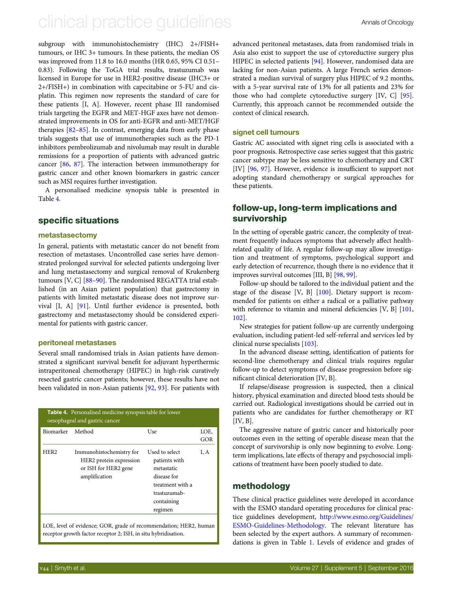## clinical practice quidelines and annus of Oncology

subgroup with immunohistochemistry (IHC) 2+/FISH+ tumours, or IHC 3+ tumours. In these patients, the median OS was improved from 11.8 to 16.0 months (HR 0.65, 95% CI 0.51– 0.83). Following the ToGA trial results, trastuzumab was licensed in Europe for use in HER2-positive disease (IHC3+ or 2+/FISH+) in combination with capecitabine or 5-FU and cisplatin. This regimen now represents the standard of care for these patients [I, A]. However, recent phase III randomised trials targeting the EGFR and MET-HGF axes have not demonstrated improvements in OS for anti-EGFR and anti-MET/HGF therapies [[82](#page-11-0)–[85](#page-11-0)]. In contrast, emerging data from early phase trials suggests that use of immunotherapies such as the PD-1 inhibitors pembrolizumab and nivolumab may result in durable remissions for a proportion of patients with advanced gastric cancer [\[86,](#page-11-0) [87\]](#page-11-0). The interaction between immunotherapy for gastric cancer and other known biomarkers in gastric cancer such as MSI requires further investigation.

A personalised medicine synopsis table is presented in Table 4.

## specific situations

#### metastasectomy

In general, patients with metastatic cancer do not benefit from resection of metastases. Uncontrolled case series have demonstrated prolonged survival for selected patients undergoing liver and lung metastasectomy and surgical removal of Krukenberg tumours [V, C] [\[88](#page-11-0)–[90\]](#page-11-0). The randomised REGATTA trial established (in an Asian patient population) that gastrectomy in patients with limited metastatic disease does not improve survival [I, A] [\[91](#page-11-0)]. Until further evidence is presented, both gastrectomy and metastasectomy should be considered experimental for patients with gastric cancer.

### peritoneal metastases

Several small randomised trials in Asian patients have demonstrated a significant survival benefit for adjuvant hyperthermic intraperitoneal chemotherapy (HIPEC) in high-risk curatively resected gastric cancer patients; however, these results have not been validated in non-Asian patients [\[92,](#page-11-0) [93](#page-11-0)]. For patients with

| <b>Table 4.</b> Personalised medicine synopsis table for lower<br>oesophageal and gastric cancer |                                                                                              |                                                                                                                           |             |  |  |  |  |  |
|--------------------------------------------------------------------------------------------------|----------------------------------------------------------------------------------------------|---------------------------------------------------------------------------------------------------------------------------|-------------|--|--|--|--|--|
| Biomarker                                                                                        | Method                                                                                       | Use                                                                                                                       | LOE,<br>GOR |  |  |  |  |  |
| HER <sub>2</sub>                                                                                 | Immunohistochemistry for<br>HER2 protein expression<br>or ISH for HER2 gene<br>amplification | Used to select<br>patients with<br>metastatic<br>disease for<br>treatment with a<br>trastuzumab-<br>containing<br>regimen | I. A        |  |  |  |  |  |
|                                                                                                  | LOE, level of evidence; GOR, grade of recommendation; HER2, human                            |                                                                                                                           |             |  |  |  |  |  |

receptor growth factor receptor 2; ISH, in situ hybridisation.

advanced peritoneal metastases, data from randomised trials in Asia also exist to support the use of cytoreductive surgery plus HIPEC in selected patients [[94\]](#page-11-0). However, randomised data are lacking for non-Asian patients. A large French series demonstrated a median survival of surgery plus HIPEC of 9.2 months, with a 5-year survival rate of 13% for all patients and 23% for those who had complete cytoreductive surgery [IV, C] [[95\]](#page-11-0). Currently, this approach cannot be recommended outside the context of clinical research.

### signet cell tumours

Gastric AC associated with signet ring cells is associated with a poor prognosis. Retrospective case series suggest that this gastric cancer subtype may be less sensitive to chemotherapy and CRT [IV] [\[96](#page-11-0), [97](#page-11-0)]. However, evidence is insufficient to support not adopting standard chemotherapy or surgical approaches for these patients.

## follow-up, long-term implications and survivorship

In the setting of operable gastric cancer, the complexity of treatment frequently induces symptoms that adversely affect healthrelated quality of life. A regular follow-up may allow investigation and treatment of symptoms, psychological support and early detection of recurrence, though there is no evidence that it improves survival outcomes [III, B] [[98,](#page-11-0) [99](#page-11-0)].

Follow-up should be tailored to the individual patient and the stage of the disease [V, B] [\[100\]](#page-11-0). Dietary support is recommended for patients on either a radical or a palliative pathway with reference to vitamin and mineral deficiencies [V, B] [[101](#page-11-0), [102\]](#page-11-0).

New strategies for patient follow-up are currently undergoing evaluation, including patient-led self-referral and services led by clinical nurse specialists [[103](#page-11-0)].

In the advanced disease setting, identification of patients for second-line chemotherapy and clinical trials requires regular follow-up to detect symptoms of disease progression before significant clinical deterioration [IV, B].

If relapse/disease progression is suspected, then a clinical history, physical examination and directed blood tests should be carried out. Radiological investigations should be carried out in patients who are candidates for further chemotherapy or RT  $[IV, B]$ .

The aggressive nature of gastric cancer and historically poor outcomes even in the setting of operable disease mean that the concept of survivorship is only now beginning to evolve. Longterm implications, late effects of therapy and psychosocial implications of treatment have been poorly studied to date.

## methodology

These clinical practice guidelines were developed in accordance with the ESMO standard operating procedures for clinical practice guidelines development, [http://www.esmo.org/Guidelines/](http://www.esmo.org/Guidelines/ESMO-Guidelines-Methodology) [ESMO-Guidelines-Methodology](http://www.esmo.org/Guidelines/ESMO-Guidelines-Methodology). The relevant literature has been selected by the expert authors. A summary of recommendations is given in Table [1.](#page-7-0) Levels of evidence and grades of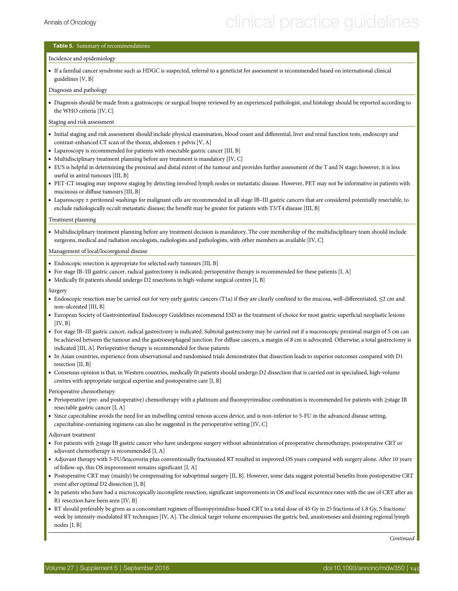## <span id="page-7-0"></span>Table 5. Summary of recommendations

#### Incidence and epidemiology

• If a familial cancer syndrome such as HDGC is suspected, referral to a geneticist for assessment is recommended based on international clinical guidelines [V, B]

Diagnosis and pathology

• Diagnosis should be made from a gastroscopic or surgical biopsy reviewed by an experienced pathologist, and histology should be reported according to the WHO criteria [IV, C]

#### Staging and risk assessment

- Initial staging and risk assessment should include physical examination, blood count and differential, liver and renal function tests, endoscopy and contrast-enhanced CT scan of the thorax, abdomen ± pelvis [V, A]
- Laparoscopy is recommended for patients with resectable gastric cancer [III, B]
- Multidisciplinary treatment planning before any treatment is mandatory [IV, C]
- EUS is helpful in determining the proximal and distal extent of the tumour and provides further assessment of the T and N stage; however, it is less useful in antral tumours [III, B]
- PET-CT imaging may improve staging by detecting involved lymph nodes or metastatic disease. However, PET may not be informative in patients with mucinous or diffuse tumours [III, B]
- Laparoscopy ± peritoneal washings for malignant cells are recommended in all stage IB–III gastric cancers that are considered potentially resectable, to exclude radiologically occult metastatic disease; the benefit may be greater for patients with T3/T4 disease [III, B]

#### Treatment planning

• Multidisciplinary treatment planning before any treatment decision is mandatory. The core membership of the multidisciplinary team should include surgeons, medical and radiation oncologists, radiologists and pathologists, with other members as available [IV, C]

#### Management of local/locoregional disease

- Endoscopic resection is appropriate for selected early tumours [III, B]
- For stage IB–III gastric cancer, radical gastrectomy is indicated; perioperative therapy is recommended for these patients [I, A]
- Medically fit patients should undergo D2 resections in high-volume surgical centres [I, B]

#### Surgery

- Endoscopic resection may be carried out for very early gastric cancers (T1a) if they are clearly confined to the mucosa, well-differentiated, ≤2 cm and non-ulcerated [III, B]
- European Society of Gastrointestinal Endoscopy Guidelines recommend ESD as the treatment of choice for most gastric superficial neoplastic lesions  $[IV, B]$
- For stage IB–III gastric cancer, radical gastrectomy is indicated. Subtotal gastrectomy may be carried out if a macroscopic proximal margin of 5 cm can be achieved between the tumour and the gastroesophageal junction. For diffuse cancers, a margin of 8 cm is advocated. Otherwise, a total gastrectomy is indicated [III, A]. Perioperative therapy is recommended for these patients
- In Asian countries, experience from observational and randomised trials demonstrates that dissection leads to superior outcomes compared with D1 resection [II, B]
- Consensus opinion is that, in Western countries, medically fit patients should undergo D2 dissection that is carried out in specialised, high-volume centres with appropriate surgical expertise and postoperative care [I, B]

Perioperative chemotherapy

- Perioperative (pre- and postoperative) chemotherapy with a platinum and fluoropyrimidine combination is recommended for patients with ≥stage IB resectable gastric cancer [I, A]
- Since capecitabine avoids the need for an indwelling central venous access device, and is non-inferior to 5-FU in the advanced disease setting, capecitabine-containing regimens can also be suggested in the perioperative setting [IV, C]

Adjuvant treatment

- For patients with ≥stage IB gastric cancer who have undergone surgery without administration of preoperative chemotherapy, postoperative CRT or adjuvant chemotherapy is recommended [I, A]
- Adjuvant therapy with 5-FU/leucovorin plus conventionally fractionated RT resulted in improved OS years compared with surgery alone. After 10 years of follow-up, this OS improvement remains significant [I, A]
- Postoperative CRT may (mainly) be compensating for suboptimal surgery [II, B]. However, some data suggest potential benefits from postoperative CRT event after optimal D2 dissection [I, B]
- In patients who have had a microscopically incomplete resection, significant improvements in OS and local recurrence rates with the use of CRT after an R1 resection have been seen [IV, B]
- RT should preferably be given as a concomitant regimen of fluoropyrimidine-based CRT to a total dose of 45 Gy in 25 fractions of 1.8 Gy, 5 fractions/ week by intensity-modulated RT techniques [IV, A]. The clinical target volume encompasses the gastric bed, anastomoses and draining regional lymph nodes [I, B]

Continued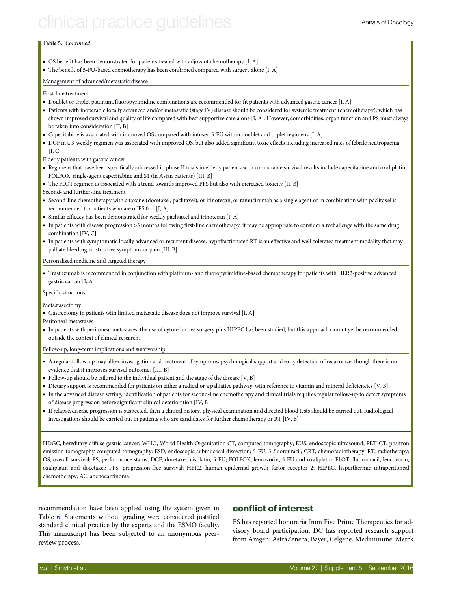# clinical practice quidelines and annus of Oncology

### Table 5. Continued

- OS benefit has been demonstrated for patients treated with adjuvant chemotherapy [I, A]
- The benefit of 5-FU-based chemotherapy has been confirmed compared with surgery alone [I, A]

### Management of advanced/metastatic disease

First-line treatment

- Doublet or triplet platinum/fluoropyrimidine combinations are recommended for fit patients with advanced gastric cancer [I, A]
- Patients with inoperable locally advanced and/or metastatic (stage IV) disease should be considered for systemic treatment (chemotherapy), which has shown improved survival and quality of life compared with best supportive care alone [I, A]. However, comorbidities, organ function and PS must always be taken into consideration [II, B]
- Capecitabine is associated with improved OS compared with infused 5-FU within doublet and triplet regimens [I, A]
- DCF in a 3-weekly regimen was associated with improved OS, but also added significant toxic effects including increased rates of febrile neutropaenia  $[I, C]$

Elderly patients with gastric cancer

- Regimens that have been specifically addressed in phase II trials in elderly patients with comparable survival results include capecitabine and oxaliplatin, FOLFOX, single-agent capecitabine and S1 (in Asian patients) [III, B]
- The FLOT regimen is associated with a trend towards improved PFS but also with increased toxicity [II, B]
- Second- and further-line treatment
- Second-line chemotherapy with a taxane (docetaxel, paclitaxel), or irinotecan, or ramucirumab as a single agent or in combination with paclitaxel is recommended for patients who are of PS 0–1 [I, A]
- Similar efficacy has been demonstrated for weekly paclitaxel and irinotecan [I, A]
- In patients with disease progression >3 months following first-line chemotherapy, it may be appropriate to consider a rechallenge with the same drug combination [IV, C]
- In patients with symptomatic locally advanced or recurrent disease, hypofractionated RT is an effective and well-tolerated treatment modality that may palliate bleeding, obstructive symptoms or pain [III, B]

Personalised medicine and targeted therapy

• Trastuzumab is recommended in conjunction with platinum- and fluoropyrimidine-based chemotherapy for patients with HER2-positive advanced gastric cancer [I, A]

Specific situations

#### Metastasectomy

- Gastrectomy in patients with limited metastatic disease does not improve survival [I, A]
- Peritoneal metastases
- In patients with peritoneal metastases, the use of cytoreductive surgery plus HIPEC has been studied, but this approach cannot yet be recommended outside the context of clinical research.

Follow-up, long-term implications and survivorship

- A regular follow-up may allow investigation and treatment of symptoms, psychological support and early detection of recurrence, though there is no evidence that it improves survival outcomes [III, B]
- Follow-up should be tailored to the individual patient and the stage of the disease [V, B]
- Dietary support is recommended for patients on either a radical or a palliative pathway, with reference to vitamin and mineral deficiencies [V, B]
- In the advanced disease setting, identification of patients for second-line chemotherapy and clinical trials requires regular follow-up to detect symptoms of disease progression before significant clinical deterioration [IV, B]
- If relapse/disease progression is suspected, then a clinical history, physical examination and directed blood tests should be carried out. Radiological investigations should be carried out in patients who are candidates for further chemotherapy or RT [IV, B]

HDGC, hereditary diffuse gastric cancer; WHO, World Health Organisation CT, computed tomography; EUS, endoscopic ultrasound; PET-CT, positron emission tomography-computed tomography; ESD, endoscopic submucosal dissection; 5-FU, 5-fluorouracil; CRT, chemoradiotherapy; RT, radiotherapy; OS, overall survival; PS, performance status; DCF, docetaxel, cisplatin, 5-FU; FOLFOX, leucovorin, 5-FU and oxaliplatin; FLOT, fluorouracil, leucovorin, oxaliplatin and docetaxel; PFS, progression-free survival; HER2, human epidermal growth factor receptor 2; HIPEC, hyperthermic intraperitoneal chemotherapy; AC, adenocarcinoma.

recommendation have been applied using the system given in Table [6.](#page-9-0) Statements without grading were considered justified standard clinical practice by the experts and the ESMO faculty. This manuscript has been subjected to an anonymous peerreview process.

## conflict of interest

ES has reported honoraria from Five Prime Therapeutics for advisory board participation. DC has reported research support from Amgen, AstraZeneca, Bayer, Celgene, Medimmune, Merck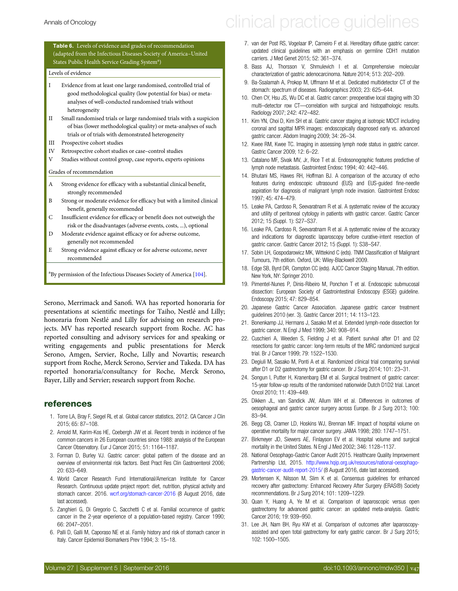### <span id="page-9-0"></span>Table 6. Levels of evidence and grades of recommendation (adapted from the Infectious Diseases Society of America–United States Public Health Service Grading System<sup>a</sup>)

#### Levels of evidence

- I Evidence from at least one large randomised, controlled trial of good methodological quality (low potential for bias) or metaanalyses of well-conducted randomised trials without heterogeneity
- II Small randomised trials or large randomised trials with a suspicion of bias (lower methodological quality) or meta-analyses of such trials or of trials with demonstrated heterogeneity
- III Prospective cohort studies
- IV Retrospective cohort studies or case–control studies
- Studies without control group, case reports, experts opinions
- Grades of recommendation
- A Strong evidence for efficacy with a substantial clinical benefit, strongly recommended
- B Strong or moderate evidence for efficacy but with a limited clinical benefit, generally recommended
- C Insufficient evidence for efficacy or benefit does not outweigh the risk or the disadvantages (adverse events, costs, ...), optional
- D Moderate evidence against efficacy or for adverse outcome, generally not recommended
- E Strong evidence against efficacy or for adverse outcome, never recommended

<sup>a</sup>By permission of the Infectious Diseases Society of America [[104](#page-11-0)].

Serono, Merrimack and Sanofi. WA has reported honoraria for presentations at scientific meetings for Taiho, Nestlé and Lilly; honoraria from Nestlé and Lilly for advising on research projects. MV has reported research support from Roche. AC has reported consulting and advisory services for and speaking or writing engagements and public presentations for Merck Serono, Amgen, Servier, Roche, Lilly and Novartis; research support from Roche, Merck Serono, Servier and Takeda. DA has reported honoraria/consultancy for Roche, Merck Serono, Bayer, Lilly and Servier; research support from Roche.

### references

- 1. Torre LA, Bray F, Siegel RL et al. Global cancer statistics, 2012. CA Cancer J Clin 2015; 65: 87–108.
- 2. Arnold M, Karim-Kos HE, Coebergh JW et al. Recent trends in incidence of five common cancers in 26 European countries since 1988: analysis of the European Cancer Observatory. Eur J Cancer 2015; 51: 1164–1187.
- 3. Forman D, Burley VJ. Gastric cancer: global pattern of the disease and an overview of environmental risk factors. Best Pract Res Clin Gastroenterol 2006; 20: 633–649.
- 4. World Cancer Research Fund International/American Institute for Cancer Research. Continuous update project report: diet, nutrition, physical activity and stomach cancer. 2016. <wcrf.org/stomach-cancer-2016> (8 August 2016, date last accessed).
- 5. Zanghieri G, Di Gregorio C, Sacchetti C et al. Familial occurrence of gastric cancer in the 2-year experience of a population-based registry. Cancer 1990; 66: 2047–2051.
- 6. Palli D, Galli M, Caporaso NE et al. Family history and risk of stomach cancer in Italy. Cancer Epidemiol Biomarkers Prev 1994; 3: 15–18.
- 7. van der Post RS, Vogelaar IP, Carneiro F et al. Hereditary diffuse gastric cancer: updated clinical guidelines with an emphasis on germline CDH1 mutation carriers. J Med Genet 2015; 52: 361–374.
- 8. Bass AJ, Thorsson V, Shmulevich I et al. Comprehensive molecular characterization of gastric adenocarcinoma. Nature 2014; 513: 202–209.
- 9. Ba-Ssalamah A, Prokop M, Uffmann M et al. Dedicated multidetector CT of the stomach: spectrum of diseases. Radiographics 2003; 23: 625–644.
- 10. Chen CY, Hsu JS, Wu DC et al. Gastric cancer: preoperative local staging with 3D multi–detector row CT—correlation with surgical and histopathologic results. Radiology 2007; 242: 472–482.
- 11. Kim YN, Choi D, Kim SH et al. Gastric cancer staging at isotropic MDCT including coronal and sagittal MPR images: endoscopically diagnosed early vs. advanced gastric cancer. Abdom Imaging 2009; 34: 26–34.
- 12. Kwee RM, Kwee TC. Imaging in assessing lymph node status in gastric cancer. Gastric Cancer 2009; 12: 6–22.
- 13. Catalano MF, Sivak MV, Jr, Rice T et al. Endosonographic features predictive of lymph node metastasis. Gastrointest Endosc 1994; 40: 442–446.
- 14. Bhutani MS, Hawes RH, Hoffman BJ. A comparison of the accuracy of echo features during endoscopic ultrasound (EUS) and EUS-guided fine-needle aspiration for diagnosis of malignant lymph node invasion. Gastrointest Endosc 1997; 45: 474–479.
- 15. Leake PA, Cardoso R, Seevaratnam R et al. A systematic review of the accuracy and utility of peritoneal cytology in patients with gastric cancer. Gastric Cancer 2012; 15 (Suppl. 1): S27–S37.
- 16. Leake PA, Cardoso R, Seevaratnam R et al. A systematic review of the accuracy and indications for diagnostic laparoscopy before curative-intent resection of gastric cancer. Gastric Cancer 2012; 15 (Suppl. 1): S38–S47.
- 17. Sobin LH, Gospodarowicz MK, Wittekind C (eds). TNM Classification of Malignant Tumours, 7th edition. Oxford, UK: Wiley-Blackwell 2009.
- 18. Edge SB, Byrd DR, Compton CC (eds). AJCC Cancer Staging Manual, 7th edition. New York, NY: Springer 2010.
- 19. Pimentel-Nunes P, Dinis-Ribeiro M, Ponchon T et al. Endoscopic submucosal dissection: European Society of Gastrointestinal Endoscopy (ESGE) guideline. Endoscopy 2015; 47: 829–854.
- 20. Japanese Gastric Cancer Association. Japanese gastric cancer treatment guidelines 2010 (ver. 3). Gastric Cancer 2011; 14: 113–123.
- 21. Bonenkamp JJ, Hermans J, Sasako M et al. Extended lymph-node dissection for gastric cancer. N Engl J Med 1999; 340: 908–914.
- 22. Cuschieri A, Weeden S, Fielding J et al. Patient survival after D1 and D2 resections for gastric cancer: long-term results of the MRC randomized surgical trial. Br J Cancer 1999; 79: 1522–1530.
- 23. Degiuli M, Sasako M, Ponti A et al. Randomized clinical trial comparing survival after D1 or D2 gastrectomy for gastric cancer. Br J Surg 2014; 101: 23–31.
- 24. Songun I, Putter H, Kranenbarg EM et al. Surgical treatment of gastric cancer: 15-year follow-up results of the randomised nationwide Dutch D1D2 trial. Lancet Oncol 2010; 11: 439–449.
- 25. Dikken JL, van Sandick JW, Allum WH et al. Differences in outcomes of oesophageal and gastric cancer surgery across Europe. Br J Surg 2013; 100: 83–94.
- 26. Begg CB, Cramer LD, Hoskins WJ, Brennan MF. Impact of hospital volume on operative mortality for major cancer surgery. JAMA 1998; 280: 1747–1751.
- 27. Birkmeyer JD, Siewers AE, Finlayson EV et al. Hospital volume and surgical mortality in the United States. N Engl J Med 2002; 346: 1128–1137.
- 28. National Oesophago-Gastric Cancer Audit 2015. Healthcare Quality Improvement Partnership Ltd, 2015. [http://www.hqip.org.uk/resources/national-oesophago](http://www.hqip.org.uk/resources/national-oesophago-gastric-cancer-audit-report-2015/)[gastric-cancer-audit-report-2015/](http://www.hqip.org.uk/resources/national-oesophago-gastric-cancer-audit-report-2015/) (8 August 2016, date last accessed).
- 29. Mortensen K, Nilsson M, Slim K et al. Consensus guidelines for enhanced recovery after gastrectomy: Enhanced Recovery After Surgery (ERAS®) Society recommendations. Br J Surg 2014; 101: 1209–1229.
- 30. Quan Y, Huang A, Ye M et al. Comparison of laparoscopic versus open gastrectomy for advanced gastric cancer: an updated meta-analysis. Gastric Cancer 2016; 19: 939–950.
- 31. Lee JH, Nam BH, Ryu KW et al. Comparison of outcomes after laparoscopyassisted and open total gastrectomy for early gastric cancer. Br J Surg 2015; 102: 1500–1505.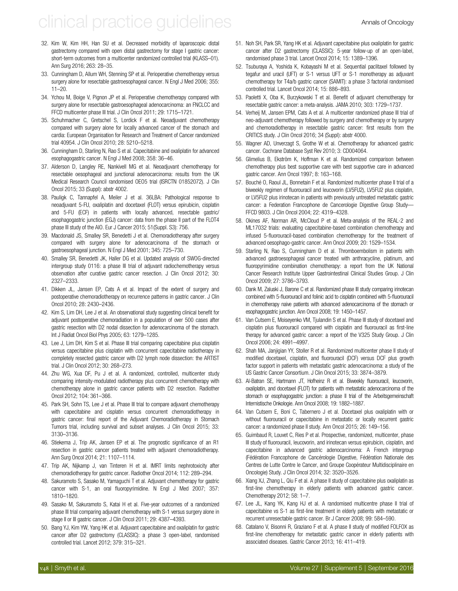# <span id="page-10-0"></span>clinical practice quidelines and annus of Oncology

- 32. Kim W, Kim HH, Han SU et al. Decreased morbidity of laparoscopic distal gastrectomy compared with open distal gastrectomy for stage I gastric cancer: short-term outcomes from a multicenter randomized controlled trial (KLASS–01). Ann Surg 2016; 263: 28–35.
- 33. Cunningham D, Allum WH, Stenning SP et al. Perioperative chemotherapy versus surgery alone for resectable gastroesophageal cancer. N Engl J Med 2006; 355: 11–20.
- 34. Ychou M, Boige V, Pignon JP et al. Perioperative chemotherapy compared with surgery alone for resectable gastroesophageal adenocarcinoma: an FNCLCC and FFCD multicenter phase III trial. J Clin Oncol 2011; 29: 1715–1721.
- 35. Schuhmacher C, Gretschel S, Lordick F et al. Neoadjuvant chemotherapy compared with surgery alone for locally advanced cancer of the stomach and cardia: European Organisation for Research and Treatment of Cancer randomized trial 40954. J Clin Oncol 2010; 28: 5210–5218.
- 36. Cunningham D, Starling N, Rao S et al. Capecitabine and oxaliplatin for advanced esophagogastric cancer. N Engl J Med 2008; 358: 36–46.
- 37. Alderson D, Langley RE, Nankivell MG et al. Neoadjuvant chemotherapy for resectable oesophageal and junctional adenocarcinoma: results from the UK Medical Research Council randomised OEO5 trial (ISRCTN 01852072). J Clin Oncol 2015; 33 (Suppl): abstr 4002.
- 38. Pauligk C, Tannapfel A, Meiler J et al. 36LBA: Pathological response to neoadjuvant 5-FU, oxaliplatin and docetaxel (FLOT) versus epirubicin, cisplatin and 5-FU (ECF) in patients with locally advanced, resectable gastric/ esophagogastric junction (EGJ) cancer: data from the phase II part of the FLOT4 phase III study of the AIO. Eur J Cancer 2015; 51(Suppl. S3): 756.
- 39. Macdonald JS, Smalley SR, Benedetti J et al. Chemoradiotherapy after surgery compared with surgery alone for adenocarcinoma of the stomach or gastroesophageal junction. N Engl J Med 2001; 345: 725–730.
- 40. Smalley SR, Benedetti JK, Haller DG et al. Updated analysis of SWOG-directed intergroup study 0116: a phase III trial of adjuvant radiochemotherapy versus observation after curative gastric cancer resection. J Clin Oncol 2012; 30: 2327–2333.
- 41. Dikken JL, Jansen EP, Cats A et al. Impact of the extent of surgery and postoperative chemoradiotherapy on recurrence patterns in gastric cancer. J Clin Oncol 2010; 28: 2430–2436.
- 42. Kim S, Lim DH, Lee J et al. An observational study suggesting clinical benefit for adjuvant postoperative chemoradiation in a population of over 500 cases after gastric resection with D2 nodal dissection for adenocarcinoma of the stomach. Int J Radiat Oncol Biol Phys 2005; 63: 1279–1285.
- 43. Lee J, Lim DH, Kim S et al. Phase III trial comparing capecitabine plus cisplatin versus capecitabine plus cisplatin with concurrent capecitabine radiotherapy in completely resected gastric cancer with D2 lymph node dissection: the ARTIST trial. J Clin Oncol 2012; 30: 268–273.
- 44. Zhu WG, Xua DF, Pu J et al. A randomized, controlled, multicenter study comparing intensity-modulated radiotherapy plus concurrent chemotherapy with chemotherapy alone in gastric cancer patients with D2 resection. Radiother Oncol 2012; 104: 361–366.
- 45. Park SH, Sohn TS, Lee J et al. Phase III trial to compare adjuvant chemotherapy with capecitabine and cisplatin versus concurrent chemoradiotherapy in gastric cancer: final report of the Adjuvant Chemoradiotherapy in Stomach Tumors trial, including survival and subset analyses. J Clin Oncol 2015; 33: 3130–3136.
- 46. Stiekema J, Trip AK, Jansen EP et al. The prognostic significance of an R1 resection in gastric cancer patients treated with adjuvant chemoradiotherapy. Ann Surg Oncol 2014; 21: 1107–1114.
- 47. Trip AK, Nijkamp J, van Tinteren H et al. IMRT limits nephrotoxicity after chemoradiotherapy for gastric cancer. Radiother Oncol 2014; 112: 289–294.
- 48. Sakuramoto S, Sasako M, Yamaguchi T et al. Adjuvant chemotherapy for gastric cancer with S-1, an oral fluoropyrimidine. N Engl J Med 2007; 357: 1810–1820.
- 49. Sasako M, Sakuramoto S, Katai H et al. Five-year outcomes of a randomized phase III trial comparing adjuvant chemotherapy with S-1 versus surgery alone in stage II or III gastric cancer. J Clin Oncol 2011; 29: 4387–4393.
- 50. Bang YJ, Kim YW, Yang HK et al. Adjuvant capecitabine and oxaliplatin for gastric cancer after D2 gastrectomy (CLASSIC): a phase 3 open-label, randomised controlled trial. Lancet 2012; 379: 315–321.
- 51. Noh SH, Park SR, Yang HK et al. Adjuvant capecitabine plus oxaliplatin for gastric cancer after D2 gastrectomy (CLASSIC): 5-year follow-up of an open-label, randomised phase 3 trial. Lancet Oncol 2014; 15: 1389–1396.
- 52. Tsuburaya A, Yoshida K, Kobayashi M et al. Sequential paclitaxel followed by tegafur and uracil (UFT) or S-1 versus UFT or S-1 monotherapy as adjuvant chemotherapy for T4a/b gastric cancer (SAMIT): a phase 3 factorial randomised controlled trial. Lancet Oncol 2014; 15: 886–893.
- 53. Paoletti X, Oba K, Burzykowski T et al. Benefit of adjuvant chemotherapy for resectable gastric cancer: a meta-analysis. JAMA 2010; 303: 1729–1737.
- 54. Verheij M, Jansen EPM, Cats A et al. A multicenter randomized phase III trial of neo-adjuvant chemotherapy followed by surgery and chemotherapy or by surgery and chemoradiotherapy in resectable gastric cancer: first results from the CRITICS study. J Clin Oncol 2016; 34 (Suppl): abstr 4000.
- 55. Wagner AD, Unverzagt S, Grothe W et al. Chemotherapy for advanced gastric cancer. Cochrane Database Syst Rev 2010; 3: CD004064.
- 56. Glimelius B, Ekström K, Hoffman K et al. Randomized comparison between chemotherapy plus best supportive care with best supportive care in advanced gastric cancer. Ann Oncol 1997; 8: 163–168.
- 57. Bouché O, Raoul JL, Bonnetain F et al. Randomized multicenter phase II trial of a biweekly regimen of fluorouracil and leucovorin (LV5FU2), LV5FU2 plus cisplatin, or LV5FU2 plus irinotecan in patients with previously untreated metastatic gastric cancer: a Federation Francophone de Cancerologie Digestive Group Study— FFCD 9803. J Clin Oncol 2004; 22: 4319–4328.
- 58. Okines AF, Norman AR, McCloud P et al. Meta-analysis of the REAL-2 and ML17032 trials: evaluating capecitabine-based combination chemotherapy and infused 5-fluorouracil-based combination chemotherapy for the treatment of advanced oesophago-gastric cancer. Ann Oncol 2009; 20: 1529–1534.
- 59. Starling N, Rao S, Cunningham D et al. Thromboembolism in patients with advanced gastroesophageal cancer treated with anthracycline, platinum, and fluoropyrimidine combination chemotherapy: a report from the UK National Cancer Research Institute Upper Gastrointestinal Clinical Studies Group. J Clin Oncol 2009; 27: 3786–3793.
- 60. Dank M, Zaluski J, Barone C et al. Randomized phase III study comparing irinotecan combined with 5-fluorouracil and folinic acid to cisplatin combined with 5-fluorouracil in chemotherapy naive patients with advanced adenocarcinoma of the stomach or esophagogastric junction. Ann Oncol 2008; 19: 1450–1457.
- 61. Van Cutsem E, Moiseyenko VM, Tjulandin S et al. Phase III study of docetaxel and cisplatin plus fluorouracil compared with cisplatin and fluorouracil as first-line therapy for advanced gastric cancer: a report of the V325 Study Group. J Clin Oncol 2006; 24: 4991–4997.
- 62. Shah MA, Janjigian YY, Stoller R et al. Randomized multicenter phase II study of modified docetaxel, cisplatin, and fluorouracil (DCF) versus DCF plus growth factor support in patients with metastatic gastric adenocarcinoma: a study of the US Gastric Cancer Consortium. J Clin Oncol 2015; 33: 3874–3879.
- 63. Al-Batran SE, Hartmann JT, Hofheinz R et al. Biweekly fluorouracil, leucovorin, oxaliplatin, and docetaxel (FLOT) for patients with metastatic adenocarcinoma of the stomach or esophagogastric junction: a phase II trial of the Arbeitsgemeinschaft Internistische Onkologie. Ann Oncol 2008; 19: 1882–1887.
- 64. Van Cutsem E, Boni C, Tabernero J et al. Docetaxel plus oxaliplatin with or without fluorouracil or capecitabine in metastatic or locally recurrent gastric cancer: a randomized phase II study. Ann Oncol 2015; 26: 149–156.
- 65. Guimbaud R, Louvet C, Ries P et al. Prospective, randomized, multicenter, phase III study of fluorouracil, leucovorin, and irinotecan versus epirubicin, cisplatin, and capecitabine in advanced gastric adenocarcinoma: A French intergroup (Fédération Francophone de Cancérologie Digestive, Fédération Nationale des Centres de Lutte Contre le Cancer, and Groupe Coopérateur Multidisciplinaire en Oncologie) Study. J Clin Oncol 2014; 32: 3520–3526.
- 66. Xiang XJ, Zhang L, Qiu F et al. A phase II study of capecitabine plus oxaliplatin as first-line chemotherapy in elderly patients with advanced gastric cancer. Chemotherapy 2012; 58: 1–7.
- 67. Lee JL, Kang YK, Kang HJ et al. A randomised multicentre phase II trial of capecitabine vs S-1 as first-line treatment in elderly patients with metastatic or recurrent unresectable gastric cancer. Br J Cancer 2008; 99: 584–590.
- 68. Catalano V, Bisonni R, Graziano F et al. A phase II study of modified FOLFOX as first-line chemotherapy for metastatic gastric cancer in elderly patients with associated diseases. Gastric Cancer 2013; 16: 411–419.